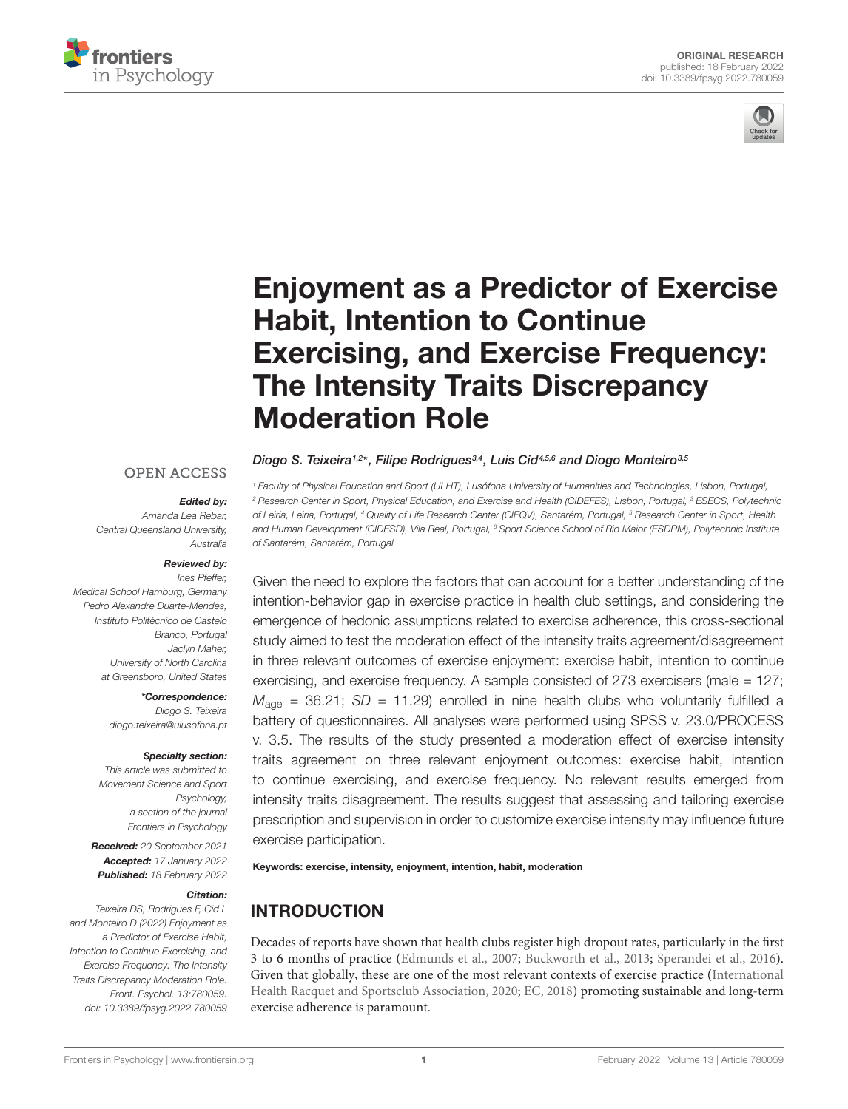



# Enjoyment as a Predictor of Exercise Habit, Intention to Continue [Exercising, and Exercise Frequency:](https://www.frontiersin.org/articles/10.3389/fpsyg.2022.780059/full) The Intensity Traits Discrepancy Moderation Role

## **OPEN ACCESS**

## Edited by:

Amanda Lea Rebar, Central Queensland University, Australia

#### Reviewed by:

Ines Pfeffer, Medical School Hamburg, Germany Pedro Alexandre Duarte-Mendes, Instituto Politécnico de Castelo Branco, Portugal Jaclyn Maher, University of North Carolina at Greensboro, United States

> \*Correspondence: Diogo S. Teixeira diogo.teixeira@ulusofona.pt

#### Specialty section:

This article was submitted to Movement Science and Sport Psychology, a section of the journal Frontiers in Psychology

Received: 20 September 2021 Accepted: 17 January 2022 Published: 18 February 2022

#### Citation:

Teixeira DS, Rodrigues F, Cid L and Monteiro D (2022) Enjoyment as a Predictor of Exercise Habit, Intention to Continue Exercising, and Exercise Frequency: The Intensity Traits Discrepancy Moderation Role. Front. Psychol. 13:780059. doi: [10.3389/fpsyg.2022.780059](https://doi.org/10.3389/fpsyg.2022.780059)

Diogo S. Teixeira1,2\*, Filipe Rodrigues3,4, Luis Cid4,5,6 and Diogo Monteiro3,5

<sup>1</sup> Faculty of Physical Education and Sport (ULHT), Lusófona University of Humanities and Technologies, Lisbon, Portugal, <sup>2</sup> Research Center in Sport, Physical Education, and Exercise and Health (CIDEFES), Lisbon, Portugal, <sup>3</sup> ESECS, Polytechnic of Leiria, Leiria, Portugal, <sup>4</sup> Quality of Life Research Center (CIEQV), Santarém, Portugal, <sup>5</sup> Research Center in Sport, Health and Human Development (CIDESD), Vila Real, Portugal, <sup>6</sup> Sport Science School of Rio Maior (ESDRM), Polytechnic Institute of Santarém, Santarém, Portugal

Given the need to explore the factors that can account for a better understanding of the intention-behavior gap in exercise practice in health club settings, and considering the emergence of hedonic assumptions related to exercise adherence, this cross-sectional study aimed to test the moderation effect of the intensity traits agreement/disagreement in three relevant outcomes of exercise enjoyment: exercise habit, intention to continue exercising, and exercise frequency. A sample consisted of 273 exercisers (male = 127;  $M_{\text{aqe}}$  = 36.21; SD = 11.29) enrolled in nine health clubs who voluntarily fulfilled a battery of questionnaires. All analyses were performed using SPSS v. 23.0/PROCESS v. 3.5. The results of the study presented a moderation effect of exercise intensity traits agreement on three relevant enjoyment outcomes: exercise habit, intention to continue exercising, and exercise frequency. No relevant results emerged from intensity traits disagreement. The results suggest that assessing and tailoring exercise prescription and supervision in order to customize exercise intensity may influence future exercise participation.

Keywords: exercise, intensity, enjoyment, intention, habit, moderation

# INTRODUCTION

Decades of reports have shown that health clubs register high dropout rates, particularly in the first 3 to 6 months of practice [\(Edmunds et al.,](#page-7-0) [2007;](#page-7-0) [Buckworth et al.,](#page-7-1) [2013;](#page-7-1) [Sperandei et al.,](#page-8-0) [2016\)](#page-8-0). Given that globally, these are one of the most relevant contexts of exercise practice [\(International](#page-8-1) [Health Racquet and Sportsclub Association,](#page-8-1) [2020;](#page-8-1) [EC,](#page-7-2) [2018\)](#page-7-2) promoting sustainable and long-term exercise adherence is paramount.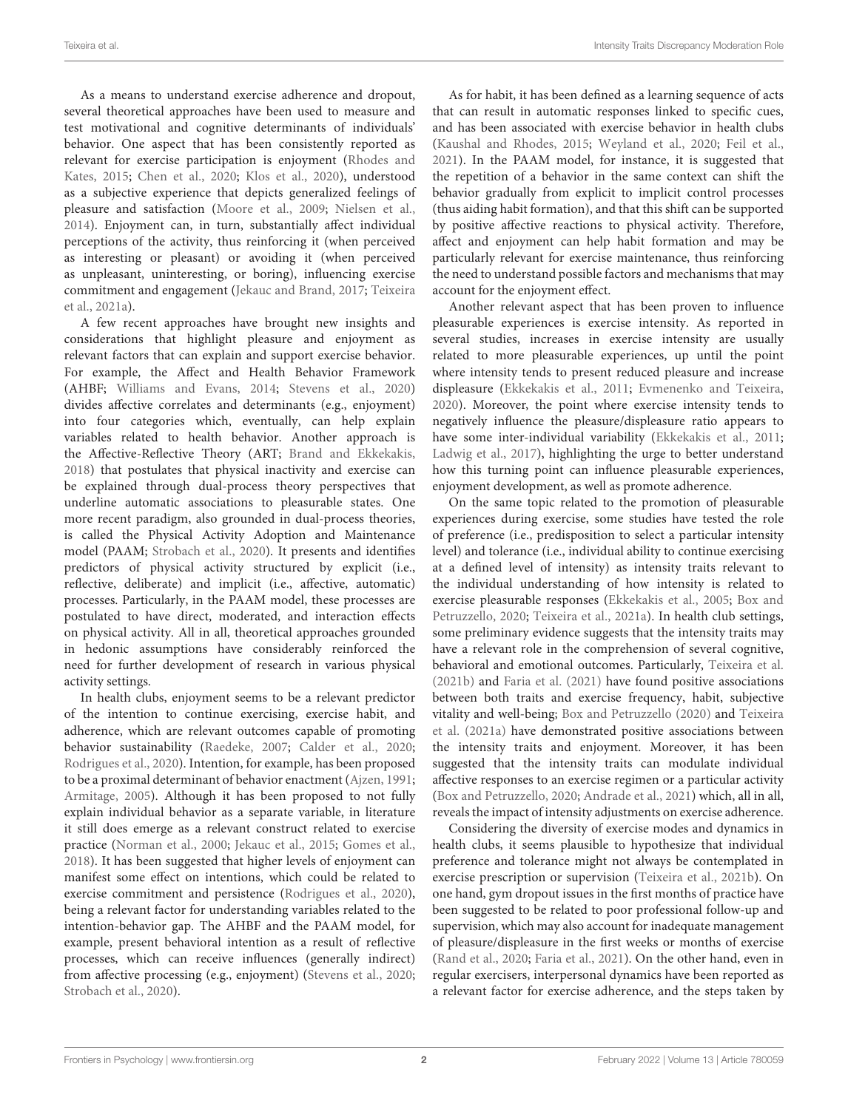As a means to understand exercise adherence and dropout, several theoretical approaches have been used to measure and test motivational and cognitive determinants of individuals' behavior. One aspect that has been consistently reported as relevant for exercise participation is enjoyment [\(Rhodes and](#page-8-2) [Kates,](#page-8-2) [2015;](#page-8-2) [Chen et al.,](#page-7-3) [2020;](#page-7-3) [Klos et al.,](#page-8-3) [2020\)](#page-8-3), understood as a subjective experience that depicts generalized feelings of pleasure and satisfaction [\(Moore et al.,](#page-8-4) [2009;](#page-8-4) [Nielsen et al.,](#page-8-5) [2014\)](#page-8-5). Enjoyment can, in turn, substantially affect individual perceptions of the activity, thus reinforcing it (when perceived as interesting or pleasant) or avoiding it (when perceived as unpleasant, uninteresting, or boring), influencing exercise commitment and engagement [\(Jekauc and Brand,](#page-8-6) [2017;](#page-8-6) [Teixeira](#page-8-7) [et al.,](#page-8-7) [2021a\)](#page-8-7).

A few recent approaches have brought new insights and considerations that highlight pleasure and enjoyment as relevant factors that can explain and support exercise behavior. For example, the Affect and Health Behavior Framework (AHBF; [Williams and Evans,](#page-9-0) [2014;](#page-9-0) [Stevens et al.,](#page-8-8) [2020\)](#page-8-8) divides affective correlates and determinants (e.g., enjoyment) into four categories which, eventually, can help explain variables related to health behavior. Another approach is the Affective-Reflective Theory (ART; [Brand and Ekkekakis,](#page-7-4) [2018\)](#page-7-4) that postulates that physical inactivity and exercise can be explained through dual-process theory perspectives that underline automatic associations to pleasurable states. One more recent paradigm, also grounded in dual-process theories, is called the Physical Activity Adoption and Maintenance model (PAAM; [Strobach et al.,](#page-8-9) [2020\)](#page-8-9). It presents and identifies predictors of physical activity structured by explicit (i.e., reflective, deliberate) and implicit (i.e., affective, automatic) processes. Particularly, in the PAAM model, these processes are postulated to have direct, moderated, and interaction effects on physical activity. All in all, theoretical approaches grounded in hedonic assumptions have considerably reinforced the need for further development of research in various physical activity settings.

In health clubs, enjoyment seems to be a relevant predictor of the intention to continue exercising, exercise habit, and adherence, which are relevant outcomes capable of promoting behavior sustainability [\(Raedeke,](#page-8-10) [2007;](#page-8-10) [Calder et al.,](#page-7-5) [2020;](#page-7-5) [Rodrigues et al.,](#page-8-11) [2020\)](#page-8-11). Intention, for example, has been proposed to be a proximal determinant of behavior enactment [\(Ajzen,](#page-7-6) [1991;](#page-7-6) [Armitage,](#page-7-7) [2005\)](#page-7-7). Although it has been proposed to not fully explain individual behavior as a separate variable, in literature it still does emerge as a relevant construct related to exercise practice [\(Norman et al.,](#page-8-12) [2000;](#page-8-12) [Jekauc et al.,](#page-8-13) [2015;](#page-8-13) [Gomes et al.,](#page-8-14) [2018\)](#page-8-14). It has been suggested that higher levels of enjoyment can manifest some effect on intentions, which could be related to exercise commitment and persistence [\(Rodrigues et al.,](#page-8-11) [2020\)](#page-8-11), being a relevant factor for understanding variables related to the intention-behavior gap. The AHBF and the PAAM model, for example, present behavioral intention as a result of reflective processes, which can receive influences (generally indirect) from affective processing (e.g., enjoyment) [\(Stevens et al.,](#page-8-8) [2020;](#page-8-8) [Strobach et al.,](#page-8-9) [2020\)](#page-8-9).

As for habit, it has been defined as a learning sequence of acts that can result in automatic responses linked to specific cues, and has been associated with exercise behavior in health clubs [\(Kaushal and Rhodes,](#page-8-15) [2015;](#page-8-15) [Weyland et al.,](#page-8-16) [2020;](#page-8-16) [Feil et al.,](#page-8-17) [2021\)](#page-8-17). In the PAAM model, for instance, it is suggested that the repetition of a behavior in the same context can shift the behavior gradually from explicit to implicit control processes (thus aiding habit formation), and that this shift can be supported by positive affective reactions to physical activity. Therefore, affect and enjoyment can help habit formation and may be particularly relevant for exercise maintenance, thus reinforcing the need to understand possible factors and mechanisms that may account for the enjoyment effect.

Another relevant aspect that has been proven to influence pleasurable experiences is exercise intensity. As reported in several studies, increases in exercise intensity are usually related to more pleasurable experiences, up until the point where intensity tends to present reduced pleasure and increase displeasure [\(Ekkekakis et al.,](#page-8-18) [2011;](#page-8-18) [Evmenenko and Teixeira,](#page-8-19) [2020\)](#page-8-19). Moreover, the point where exercise intensity tends to negatively influence the pleasure/displeasure ratio appears to have some inter-individual variability [\(Ekkekakis et al.,](#page-8-18) [2011;](#page-8-18) [Ladwig et al.,](#page-8-20) [2017\)](#page-8-20), highlighting the urge to better understand how this turning point can influence pleasurable experiences, enjoyment development, as well as promote adherence.

On the same topic related to the promotion of pleasurable experiences during exercise, some studies have tested the role of preference (i.e., predisposition to select a particular intensity level) and tolerance (i.e., individual ability to continue exercising at a defined level of intensity) as intensity traits relevant to the individual understanding of how intensity is related to exercise pleasurable responses [\(Ekkekakis et al.,](#page-7-8) [2005;](#page-7-8) [Box and](#page-7-9) [Petruzzello,](#page-7-9) [2020;](#page-7-9) [Teixeira et al.,](#page-8-7) [2021a\)](#page-8-7). In health club settings, some preliminary evidence suggests that the intensity traits may have a relevant role in the comprehension of several cognitive, behavioral and emotional outcomes. Particularly, [Teixeira et al.](#page-8-21) [\(2021b\)](#page-8-21) and [Faria et al.](#page-8-22) [\(2021\)](#page-8-22) have found positive associations between both traits and exercise frequency, habit, subjective vitality and well-being; [Box and Petruzzello](#page-7-9) [\(2020\)](#page-7-9) and [Teixeira](#page-8-7) [et al.](#page-8-7) [\(2021a\)](#page-8-7) have demonstrated positive associations between the intensity traits and enjoyment. Moreover, it has been suggested that the intensity traits can modulate individual affective responses to an exercise regimen or a particular activity [\(Box and Petruzzello,](#page-7-9) [2020;](#page-7-9) [Andrade et al.,](#page-7-10) [2021\)](#page-7-10) which, all in all, reveals the impact of intensity adjustments on exercise adherence.

Considering the diversity of exercise modes and dynamics in health clubs, it seems plausible to hypothesize that individual preference and tolerance might not always be contemplated in exercise prescription or supervision [\(Teixeira et al.,](#page-8-21) [2021b\)](#page-8-21). On one hand, gym dropout issues in the first months of practice have been suggested to be related to poor professional follow-up and supervision, which may also account for inadequate management of pleasure/displeasure in the first weeks or months of exercise [\(Rand et al.,](#page-8-23) [2020;](#page-8-23) [Faria et al.,](#page-8-22) [2021\)](#page-8-22). On the other hand, even in regular exercisers, interpersonal dynamics have been reported as a relevant factor for exercise adherence, and the steps taken by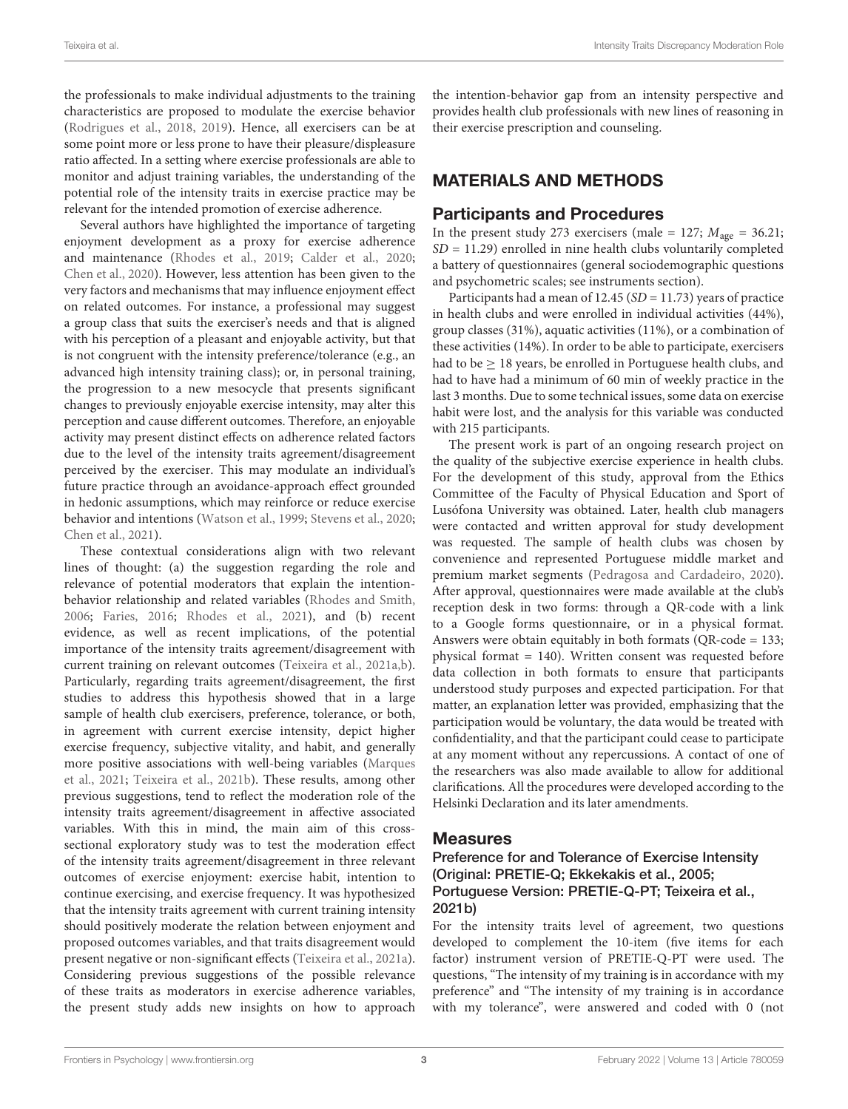the professionals to make individual adjustments to the training characteristics are proposed to modulate the exercise behavior [\(Rodrigues et al.,](#page-8-24) [2018,](#page-8-24) [2019\)](#page-8-25). Hence, all exercisers can be at some point more or less prone to have their pleasure/displeasure ratio affected. In a setting where exercise professionals are able to monitor and adjust training variables, the understanding of the potential role of the intensity traits in exercise practice may be relevant for the intended promotion of exercise adherence.

Several authors have highlighted the importance of targeting enjoyment development as a proxy for exercise adherence and maintenance [\(Rhodes et al.,](#page-8-26) [2019;](#page-8-26) [Calder et al.,](#page-7-5) [2020;](#page-7-5) [Chen et al.,](#page-7-3) [2020\)](#page-7-3). However, less attention has been given to the very factors and mechanisms that may influence enjoyment effect on related outcomes. For instance, a professional may suggest a group class that suits the exerciser's needs and that is aligned with his perception of a pleasant and enjoyable activity, but that is not congruent with the intensity preference/tolerance (e.g., an advanced high intensity training class); or, in personal training, the progression to a new mesocycle that presents significant changes to previously enjoyable exercise intensity, may alter this perception and cause different outcomes. Therefore, an enjoyable activity may present distinct effects on adherence related factors due to the level of the intensity traits agreement/disagreement perceived by the exerciser. This may modulate an individual's future practice through an avoidance-approach effect grounded in hedonic assumptions, which may reinforce or reduce exercise behavior and intentions [\(Watson et al.,](#page-8-27) [1999;](#page-8-27) [Stevens et al.,](#page-8-8) [2020;](#page-8-8) [Chen et al.,](#page-7-11) [2021\)](#page-7-11).

These contextual considerations align with two relevant lines of thought: (a) the suggestion regarding the role and relevance of potential moderators that explain the intentionbehavior relationship and related variables [\(Rhodes and Smith,](#page-8-28) [2006;](#page-8-28) [Faries,](#page-8-29) [2016;](#page-8-29) [Rhodes et al.,](#page-8-30) [2021\)](#page-8-30), and (b) recent evidence, as well as recent implications, of the potential importance of the intensity traits agreement/disagreement with current training on relevant outcomes [\(Teixeira et al.,](#page-8-7) [2021a](#page-8-7)[,b\)](#page-8-21). Particularly, regarding traits agreement/disagreement, the first studies to address this hypothesis showed that in a large sample of health club exercisers, preference, tolerance, or both, in agreement with current exercise intensity, depict higher exercise frequency, subjective vitality, and habit, and generally more positive associations with well-being variables [\(Marques](#page-8-31) [et al.,](#page-8-31) [2021;](#page-8-31) [Teixeira et al.,](#page-8-21) [2021b\)](#page-8-21). These results, among other previous suggestions, tend to reflect the moderation role of the intensity traits agreement/disagreement in affective associated variables. With this in mind, the main aim of this crosssectional exploratory study was to test the moderation effect of the intensity traits agreement/disagreement in three relevant outcomes of exercise enjoyment: exercise habit, intention to continue exercising, and exercise frequency. It was hypothesized that the intensity traits agreement with current training intensity should positively moderate the relation between enjoyment and proposed outcomes variables, and that traits disagreement would present negative or non-significant effects [\(Teixeira et al.,](#page-8-7) [2021a\)](#page-8-7). Considering previous suggestions of the possible relevance of these traits as moderators in exercise adherence variables, the present study adds new insights on how to approach

the intention-behavior gap from an intensity perspective and provides health club professionals with new lines of reasoning in their exercise prescription and counseling.

## MATERIALS AND METHODS

## Participants and Procedures

In the present study 273 exercisers (male = 127;  $M_{\text{age}} = 36.21$ ;  $SD = 11.29$ ) enrolled in nine health clubs voluntarily completed a battery of questionnaires (general sociodemographic questions and psychometric scales; see instruments section).

Participants had a mean of 12.45 ( $SD = 11.73$ ) years of practice in health clubs and were enrolled in individual activities (44%), group classes (31%), aquatic activities (11%), or a combination of these activities (14%). In order to be able to participate, exercisers had to be  $\geq$  18 years, be enrolled in Portuguese health clubs, and had to have had a minimum of 60 min of weekly practice in the last 3 months. Due to some technical issues, some data on exercise habit were lost, and the analysis for this variable was conducted with 215 participants.

The present work is part of an ongoing research project on the quality of the subjective exercise experience in health clubs. For the development of this study, approval from the Ethics Committee of the Faculty of Physical Education and Sport of Lusófona University was obtained. Later, health club managers were contacted and written approval for study development was requested. The sample of health clubs was chosen by convenience and represented Portuguese middle market and premium market segments [\(Pedragosa and Cardadeiro,](#page-8-32) [2020\)](#page-8-32). After approval, questionnaires were made available at the club's reception desk in two forms: through a QR-code with a link to a Google forms questionnaire, or in a physical format. Answers were obtain equitably in both formats (QR-code = 133; physical format = 140). Written consent was requested before data collection in both formats to ensure that participants understood study purposes and expected participation. For that matter, an explanation letter was provided, emphasizing that the participation would be voluntary, the data would be treated with confidentiality, and that the participant could cease to participate at any moment without any repercussions. A contact of one of the researchers was also made available to allow for additional clarifications. All the procedures were developed according to the Helsinki Declaration and its later amendments.

## Measures

## Preference for and Tolerance of Exercise Intensity (Original: PRETIE-Q; [Ekkekakis et al.,](#page-7-8) [2005;](#page-7-8) Portuguese Version: PRETIE-Q-PT; [Teixeira et al.,](#page-8-21) [2021b\)](#page-8-21)

For the intensity traits level of agreement, two questions developed to complement the 10-item (five items for each factor) instrument version of PRETIE-Q-PT were used. The questions, "The intensity of my training is in accordance with my preference" and "The intensity of my training is in accordance with my tolerance", were answered and coded with 0 (not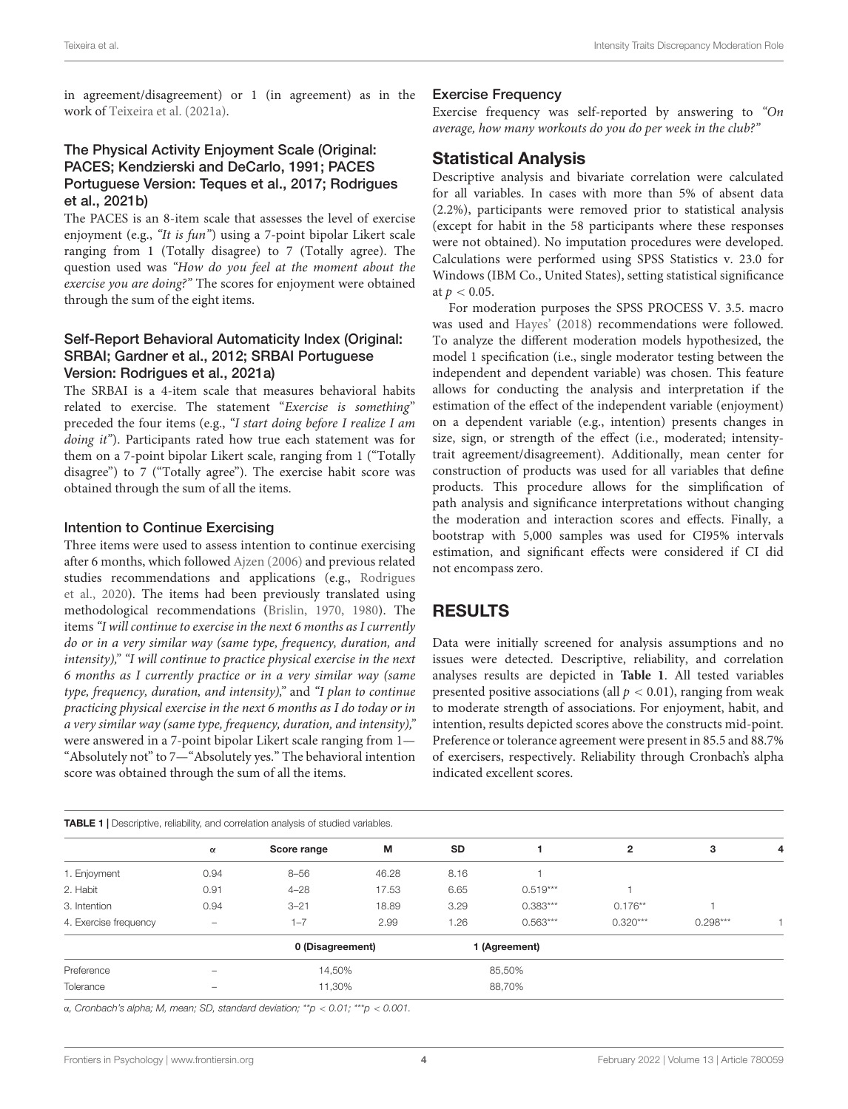in agreement/disagreement) or 1 (in agreement) as in the work of [Teixeira et al.](#page-8-7) [\(2021a\)](#page-8-7).

## The Physical Activity Enjoyment Scale (Original: PACES; [Kendzierski and DeCarlo,](#page-8-33) [1991;](#page-8-33) PACES Portuguese Version: [Teques et al.,](#page-8-34) [2017;](#page-8-34) [Rodrigues](#page-8-35) [et al.,](#page-8-35) [2021b\)](#page-8-35)

The PACES is an 8-item scale that assesses the level of exercise enjoyment (e.g., "It is fun") using a 7-point bipolar Likert scale ranging from 1 (Totally disagree) to 7 (Totally agree). The question used was "How do you feel at the moment about the exercise you are doing?" The scores for enjoyment were obtained through the sum of the eight items.

## Self-Report Behavioral Automaticity Index (Original: SRBAI; [Gardner et al.,](#page-8-36) [2012;](#page-8-36) SRBAI Portuguese Version: [Rodrigues et al.,](#page-8-37) [2021a\)](#page-8-37)

The SRBAI is a 4-item scale that measures behavioral habits related to exercise. The statement "Exercise is something" preceded the four items (e.g., "I start doing before I realize I am doing it"). Participants rated how true each statement was for them on a 7-point bipolar Likert scale, ranging from 1 ("Totally disagree") to 7 ("Totally agree"). The exercise habit score was obtained through the sum of all the items.

#### Intention to Continue Exercising

Three items were used to assess intention to continue exercising after 6 months, which followed [Ajzen](#page-7-12) [\(2006\)](#page-7-12) and previous related studies recommendations and applications (e.g., [Rodrigues](#page-8-11) [et al.,](#page-8-11) [2020\)](#page-8-11). The items had been previously translated using methodological recommendations [\(Brislin,](#page-7-13) [1970,](#page-7-13) [1980\)](#page-7-14). The items"I will continue to exercise in the next 6 months as I currently do or in a very similar way (same type, frequency, duration, and intensity)," "I will continue to practice physical exercise in the next 6 months as I currently practice or in a very similar way (same type, frequency, duration, and intensity)," and "I plan to continue practicing physical exercise in the next 6 months as I do today or in a very similar way (same type, frequency, duration, and intensity)," were answered in a 7-point bipolar Likert scale ranging from 1— "Absolutely not" to 7—"Absolutely yes." The behavioral intention score was obtained through the sum of all the items.

#### Exercise Frequency

Exercise frequency was self-reported by answering to "On average, how many workouts do you do per week in the club?"

## Statistical Analysis

Descriptive analysis and bivariate correlation were calculated for all variables. In cases with more than 5% of absent data (2.2%), participants were removed prior to statistical analysis (except for habit in the 58 participants where these responses were not obtained). No imputation procedures were developed. Calculations were performed using SPSS Statistics v. 23.0 for Windows (IBM Co., United States), setting statistical significance at  $p < 0.05$ .

For moderation purposes the SPSS PROCESS V. 3.5. macro was used and [Hayes'](#page-8-38) [\(2018\)](#page-8-38) recommendations were followed. To analyze the different moderation models hypothesized, the model 1 specification (i.e., single moderator testing between the independent and dependent variable) was chosen. This feature allows for conducting the analysis and interpretation if the estimation of the effect of the independent variable (enjoyment) on a dependent variable (e.g., intention) presents changes in size, sign, or strength of the effect (i.e., moderated; intensitytrait agreement/disagreement). Additionally, mean center for construction of products was used for all variables that define products. This procedure allows for the simplification of path analysis and significance interpretations without changing the moderation and interaction scores and effects. Finally, a bootstrap with 5,000 samples was used for CI95% intervals estimation, and significant effects were considered if CI did not encompass zero.

## RESULTS

Data were initially screened for analysis assumptions and no issues were detected. Descriptive, reliability, and correlation analyses results are depicted in **[Table 1](#page-3-0)**. All tested variables presented positive associations (all  $p < 0.01$ ), ranging from weak to moderate strength of associations. For enjoyment, habit, and intention, results depicted scores above the constructs mid-point. Preference or tolerance agreement were present in 85.5 and 88.7% of exercisers, respectively. Reliability through Cronbach's alpha indicated excellent scores.

<span id="page-3-0"></span>

|                       | $\alpha$                 | Score range      | M     | SD            |            | $\overline{2}$ | з          | 4 |
|-----------------------|--------------------------|------------------|-------|---------------|------------|----------------|------------|---|
| 1. Enjoyment          | 0.94                     | $8 - 56$         | 46.28 | 8.16          |            |                |            |   |
| 2. Habit              | 0.91                     | $4 - 28$         | 17.53 | 6.65          | $0.519***$ |                |            |   |
| 3. Intention          | 0.94                     | $3 - 21$         | 18.89 | 3.29          | $0.383***$ | $0.176**$      |            |   |
| 4. Exercise frequency | $\overline{\phantom{0}}$ | $1 - 7$          | 2.99  | 1.26          | $0.563***$ | $0.320***$     | $0.298***$ |   |
|                       |                          | 0 (Disagreement) |       | 1 (Agreement) |            |                |            |   |
| Preference            |                          | 14,50%           |       | 85,50%        |            |                |            |   |
| Tolerance             |                          | 11,30%           |       | 88,70%        |            |                |            |   |

α, Cronbach's alpha; M, mean; SD, standard deviation; \*\*p < 0.01; \*\*\*p < 0.001.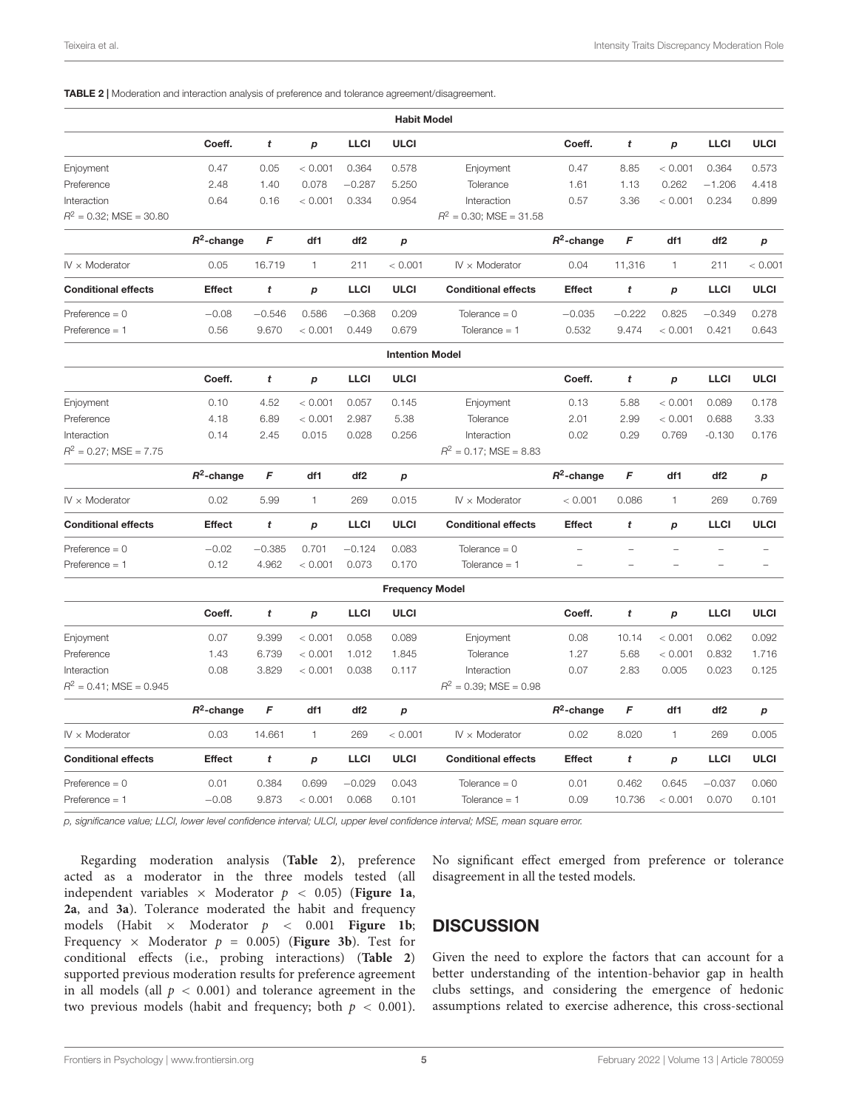#### <span id="page-4-0"></span>TABLE 2 | Moderation and interaction analysis of preference and tolerance agreement/disagreement.

|                            |               |                  |                  |                 | <b>Habit Model</b>     |                            |                          |                  |                  |                 |             |
|----------------------------|---------------|------------------|------------------|-----------------|------------------------|----------------------------|--------------------------|------------------|------------------|-----------------|-------------|
|                            | Coeff.        | t                | $\boldsymbol{p}$ | <b>LLCI</b>     | <b>ULCI</b>            |                            | Coeff.                   | t                | p                | <b>LLCI</b>     | <b>ULCI</b> |
| Enjoyment                  | 0.47          | 0.05             | < 0.001          | 0.364           | 0.578                  | Enjoyment                  | 0.47                     | 8.85             | < 0.001          | 0.364           | 0.573       |
| Preference                 | 2.48          | 1.40             | 0.078            | $-0.287$        | 5.250                  | Tolerance                  | 1.61                     | 1.13             | 0.262            | $-1.206$        | 4.418       |
| Interaction                | 0.64          | 0.16             | < 0.001          | 0.334           | 0.954                  | Interaction                | 0.57                     | 3.36             | < 0.001          | 0.234           | 0.899       |
| $R^2$ = 0.32; MSE = 30.80  |               |                  |                  |                 |                        | $R^2$ = 0.30; MSE = 31.58  |                          |                  |                  |                 |             |
|                            | $R^2$ -change | F                | df1              | df <sub>2</sub> | p                      |                            | $R^2$ -change            | F                | df1              | df <sub>2</sub> | p           |
| $IV \times$ Moderator      | 0.05          | 16.719           | 1                | 211             | < 0.001                | $IV \times$ Moderator      | 0.04                     | 11,316           | 1                | 211             | < 0.001     |
| <b>Conditional effects</b> | <b>Effect</b> | $\boldsymbol{t}$ | $\boldsymbol{p}$ | <b>LLCI</b>     | <b>ULCI</b>            | <b>Conditional effects</b> | <b>Effect</b>            | $\boldsymbol{t}$ | $\boldsymbol{p}$ | <b>LLCI</b>     | <b>ULCI</b> |
| $Préference = 0$           | $-0.08$       | $-0.546$         | 0.586            | $-0.368$        | 0.209                  | Tolerance $= 0$            | $-0.035$                 | $-0.222$         | 0.825            | $-0.349$        | 0.278       |
| Preference $= 1$           | 0.56          | 9.670            | < 0.001          | 0.449           | 0.679                  | Tolerance $= 1$            | 0.532                    | 9.474            | < 0.001          | 0.421           | 0.643       |
|                            |               |                  |                  |                 | <b>Intention Model</b> |                            |                          |                  |                  |                 |             |
|                            | Coeff.        | t                | $\boldsymbol{p}$ | <b>LLCI</b>     | <b>ULCI</b>            |                            | Coeff.                   | t                | $\boldsymbol{p}$ | <b>LLCI</b>     | <b>ULCI</b> |
| Enjoyment                  | 0.10          | 4.52             | < 0.001          | 0.057           | 0.145                  | Enjoyment                  | 0.13                     | 5.88             | < 0.001          | 0.089           | 0.178       |
| Preference                 | 4.18          | 6.89             | < 0.001          | 2.987           | 5.38                   | Tolerance                  | 2.01                     | 2.99             | < 0.001          | 0.688           | 3.33        |
| Interaction                | 0.14          | 2.45             | 0.015            | 0.028           | 0.256                  | Interaction                | 0.02                     | 0.29             | 0.769            | $-0.130$        | 0.176       |
| $R^2$ = 0.27; MSE = 7.75   |               |                  |                  |                 |                        | $R^2 = 0.17$ ; MSE = 8.83  |                          |                  |                  |                 |             |
|                            | $R^2$ -change | F                | df1              | df <sub>2</sub> | p                      |                            | $R^2$ -change            | F                | df1              | df <sub>2</sub> | p           |
| $IV \times$ Moderator      | 0.02          | 5.99             | 1.               | 269             | 0.015                  | $IV \times$ Moderator      | < 0.001                  | 0.086            | $\mathbf{1}$     | 269             | 0.769       |
| <b>Conditional effects</b> | <b>Effect</b> | t                | $\boldsymbol{p}$ | <b>LLCI</b>     | <b>ULCI</b>            | <b>Conditional effects</b> | <b>Effect</b>            | t                | $\boldsymbol{p}$ | <b>LLCI</b>     | <b>ULCI</b> |
| Preference $= 0$           | $-0.02$       | $-0.385$         | 0.701            | $-0.124$        | 0.083                  | Tolerance $= 0$            |                          |                  |                  | L               |             |
| $Préference = 1$           | 0.12          | 4.962            | < 0.001          | 0.073           | 0.170                  | Tolerance $= 1$            | $\overline{\phantom{0}}$ |                  | $\overline{a}$   | L               |             |
|                            |               |                  |                  |                 | <b>Frequency Model</b> |                            |                          |                  |                  |                 |             |
|                            | Coeff.        | t                | $\boldsymbol{p}$ | <b>LLCI</b>     | <b>ULCI</b>            |                            | Coeff.                   | t                | p                | <b>LLCI</b>     | <b>ULCI</b> |
| Enjoyment                  | 0.07          | 9.399            | < 0.001          | 0.058           | 0.089                  | Enjoyment                  | 0.08                     | 10.14            | < 0.001          | 0.062           | 0.092       |
| Preference                 | 1.43          | 6.739            | < 0.001          | 1.012           | 1.845                  | Tolerance                  | 1.27                     | 5.68             | < 0.001          | 0.832           | 1.716       |
| Interaction                | 0.08          | 3.829            | < 0.001          | 0.038           | 0.117                  | Interaction                | 0.07                     | 2.83             | 0.005            | 0.023           | 0.125       |
| $R^2$ = 0.41; MSE = 0.945  |               |                  |                  |                 |                        | $R^2$ = 0.39; MSE = 0.98   |                          |                  |                  |                 |             |
|                            | $R^2$ -change | F                | df1              | df2             | p                      |                            | $R^2$ -change            | F                | df1              | df <sub>2</sub> | p           |
| $IV \times$ Moderator      | 0.03          | 14.661           | 1                | 269             | < 0.001                | $IV \times$ Moderator      | 0.02                     | 8.020            | $\mathbf{1}$     | 269             | 0.005       |
| <b>Conditional effects</b> | <b>Effect</b> | t                | p                | <b>LLCI</b>     | <b>ULCI</b>            | <b>Conditional effects</b> | <b>Effect</b>            | t                | p                | <b>LLCI</b>     | <b>ULCI</b> |
| $Préference = 0$           | 0.01          | 0.384            | 0.699            | $-0.029$        | 0.043                  | Tolerance $= 0$            | 0.01                     | 0.462            | 0.645            | $-0.037$        | 0.060       |
| $Préference = 1$           | $-0.08$       | 9.873            | < 0.001          | 0.068           | 0.101                  | Tolerance $= 1$            | 0.09                     | 10.736           | < 0.001          | 0.070           | 0.101       |
|                            |               |                  |                  |                 |                        |                            |                          |                  |                  |                 |             |

p, significance value; LLCI, lower level confidence interval; ULCI, upper level confidence interval; MSE, mean square error.

Regarding moderation analysis (**[Table 2](#page-4-0)**), preference acted as a moderator in the three models tested (all independent variables  $\times$  Moderator  $p < 0.05$ ) (**[Figure 1a](#page-5-0)**, **[2a](#page-5-1)**, and **[3a](#page-6-0)**). Tolerance moderated the habit and frequency models (Habit × Moderator p < 0.001 **[Figure 1b](#page-5-0)**; Frequency  $\times$  Moderator  $p = 0.005$ ) ([Figure 3b](#page-6-0)). Test for conditional effects (i.e., probing interactions) (**[Table 2](#page-4-0)**) supported previous moderation results for preference agreement in all models (all  $p < 0.001$ ) and tolerance agreement in the two previous models (habit and frequency; both  $p < 0.001$ ).

No significant effect emerged from preference or tolerance disagreement in all the tested models.

## **DISCUSSION**

Given the need to explore the factors that can account for a better understanding of the intention-behavior gap in health clubs settings, and considering the emergence of hedonic assumptions related to exercise adherence, this cross-sectional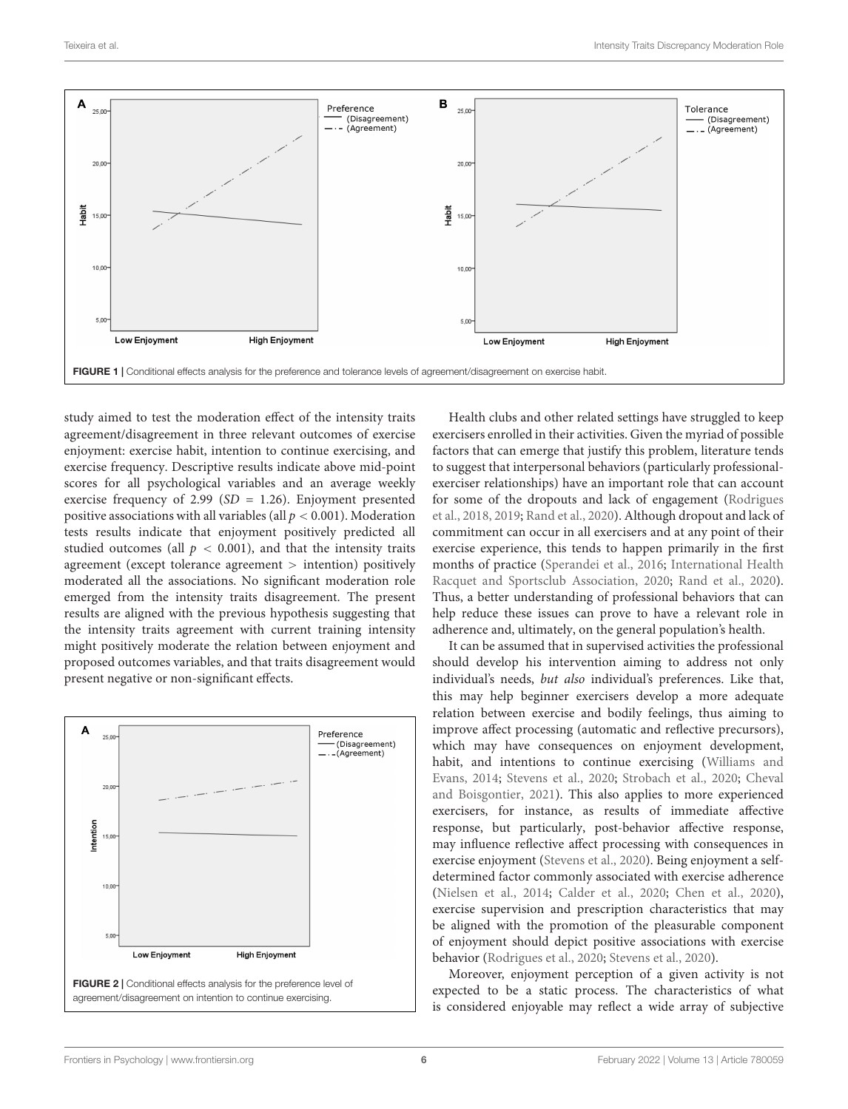

<span id="page-5-0"></span>study aimed to test the moderation effect of the intensity traits agreement/disagreement in three relevant outcomes of exercise enjoyment: exercise habit, intention to continue exercising, and exercise frequency. Descriptive results indicate above mid-point scores for all psychological variables and an average weekly exercise frequency of 2.99 ( $SD = 1.26$ ). Enjoyment presented positive associations with all variables (all  $p < 0.001$ ). Moderation tests results indicate that enjoyment positively predicted all studied outcomes (all  $p < 0.001$ ), and that the intensity traits agreement (except tolerance agreement > intention) positively moderated all the associations. No significant moderation role emerged from the intensity traits disagreement. The present results are aligned with the previous hypothesis suggesting that the intensity traits agreement with current training intensity might positively moderate the relation between enjoyment and proposed outcomes variables, and that traits disagreement would present negative or non-significant effects.

<span id="page-5-1"></span>

Health clubs and other related settings have struggled to keep exercisers enrolled in their activities. Given the myriad of possible factors that can emerge that justify this problem, literature tends to suggest that interpersonal behaviors (particularly professionalexerciser relationships) have an important role that can account for some of the dropouts and lack of engagement [\(Rodrigues](#page-8-24) [et al.,](#page-8-24) [2018,](#page-8-24) [2019;](#page-8-25) [Rand et al.,](#page-8-23) [2020\)](#page-8-23). Although dropout and lack of commitment can occur in all exercisers and at any point of their exercise experience, this tends to happen primarily in the first months of practice [\(Sperandei et al.,](#page-8-0) [2016;](#page-8-0) [International Health](#page-8-1) [Racquet and Sportsclub Association,](#page-8-1) [2020;](#page-8-1) [Rand et al.,](#page-8-23) [2020\)](#page-8-23). Thus, a better understanding of professional behaviors that can help reduce these issues can prove to have a relevant role in adherence and, ultimately, on the general population's health.

It can be assumed that in supervised activities the professional should develop his intervention aiming to address not only individual's needs, but also individual's preferences. Like that, this may help beginner exercisers develop a more adequate relation between exercise and bodily feelings, thus aiming to improve affect processing (automatic and reflective precursors), which may have consequences on enjoyment development, habit, and intentions to continue exercising [\(Williams and](#page-9-0) [Evans,](#page-9-0) [2014;](#page-9-0) [Stevens et al.,](#page-8-8) [2020;](#page-8-8) [Strobach et al.,](#page-8-9) [2020;](#page-8-9) [Cheval](#page-7-15) [and Boisgontier,](#page-7-15) [2021\)](#page-7-15). This also applies to more experienced exercisers, for instance, as results of immediate affective response, but particularly, post-behavior affective response, may influence reflective affect processing with consequences in exercise enjoyment [\(Stevens et al.,](#page-8-8) [2020\)](#page-8-8). Being enjoyment a selfdetermined factor commonly associated with exercise adherence [\(Nielsen et al.,](#page-8-5) [2014;](#page-8-5) [Calder et al.,](#page-7-5) [2020;](#page-7-5) [Chen et al.,](#page-7-3) [2020\)](#page-7-3), exercise supervision and prescription characteristics that may be aligned with the promotion of the pleasurable component of enjoyment should depict positive associations with exercise behavior [\(Rodrigues et al.,](#page-8-11) [2020;](#page-8-11) [Stevens et al.,](#page-8-8) [2020\)](#page-8-8).

Moreover, enjoyment perception of a given activity is not expected to be a static process. The characteristics of what is considered enjoyable may reflect a wide array of subjective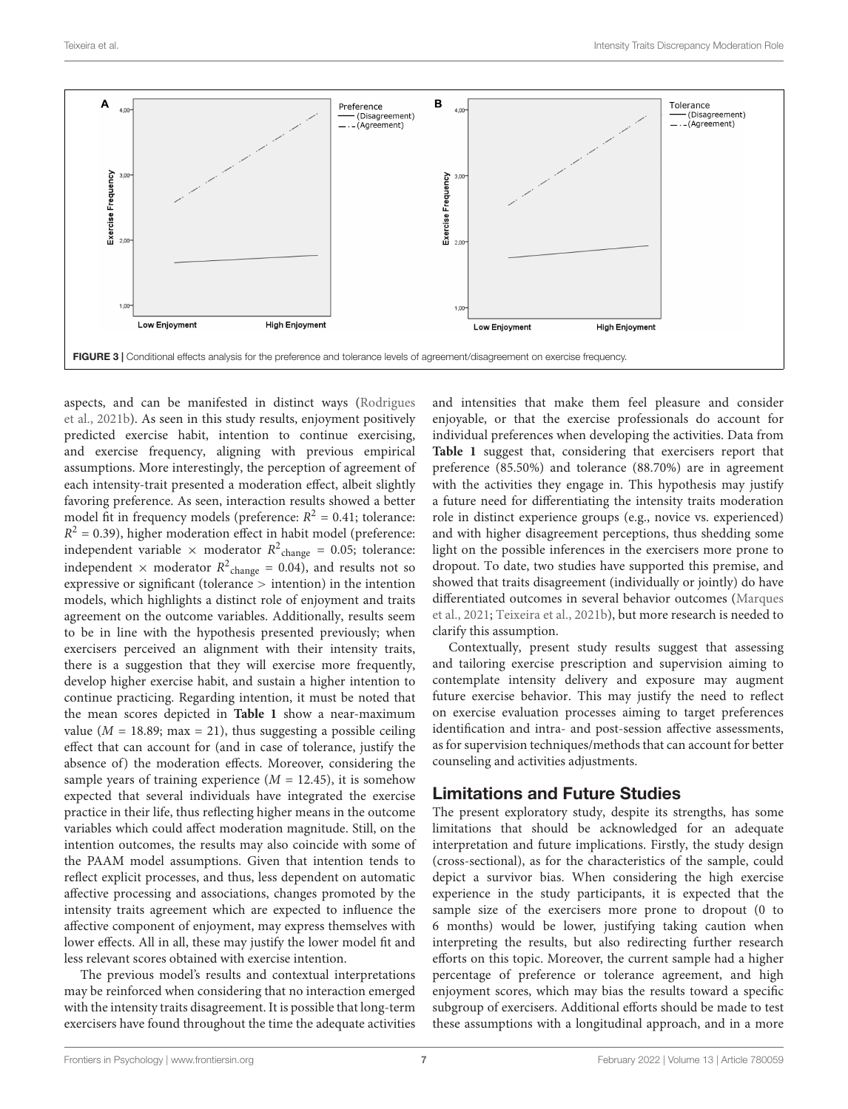

<span id="page-6-0"></span>aspects, and can be manifested in distinct ways [\(Rodrigues](#page-8-35) [et al.,](#page-8-35) [2021b\)](#page-8-35). As seen in this study results, enjoyment positively predicted exercise habit, intention to continue exercising, and exercise frequency, aligning with previous empirical assumptions. More interestingly, the perception of agreement of each intensity-trait presented a moderation effect, albeit slightly favoring preference. As seen, interaction results showed a better model fit in frequency models (preference:  $R^2 = 0.41$ ; tolerance:  $R<sup>2</sup> = 0.39$ ), higher moderation effect in habit model (preference: independent variable  $\times$  moderator  $R^2$ <sub>change</sub> = 0.05; tolerance: independent  $\times$  moderator  $R^2$ <sub>change</sub> = 0.04), and results not so expressive or significant (tolerance > intention) in the intention models, which highlights a distinct role of enjoyment and traits agreement on the outcome variables. Additionally, results seem to be in line with the hypothesis presented previously; when exercisers perceived an alignment with their intensity traits, there is a suggestion that they will exercise more frequently, develop higher exercise habit, and sustain a higher intention to continue practicing. Regarding intention, it must be noted that the mean scores depicted in **[Table 1](#page-3-0)** show a near-maximum value ( $M = 18.89$ ; max = 21), thus suggesting a possible ceiling effect that can account for (and in case of tolerance, justify the absence of) the moderation effects. Moreover, considering the sample years of training experience  $(M = 12.45)$ , it is somehow expected that several individuals have integrated the exercise practice in their life, thus reflecting higher means in the outcome variables which could affect moderation magnitude. Still, on the intention outcomes, the results may also coincide with some of the PAAM model assumptions. Given that intention tends to reflect explicit processes, and thus, less dependent on automatic affective processing and associations, changes promoted by the intensity traits agreement which are expected to influence the affective component of enjoyment, may express themselves with lower effects. All in all, these may justify the lower model fit and less relevant scores obtained with exercise intention.

The previous model's results and contextual interpretations may be reinforced when considering that no interaction emerged with the intensity traits disagreement. It is possible that long-term exercisers have found throughout the time the adequate activities and intensities that make them feel pleasure and consider enjoyable, or that the exercise professionals do account for individual preferences when developing the activities. Data from **[Table 1](#page-3-0)** suggest that, considering that exercisers report that preference (85.50%) and tolerance (88.70%) are in agreement with the activities they engage in. This hypothesis may justify a future need for differentiating the intensity traits moderation role in distinct experience groups (e.g., novice vs. experienced) and with higher disagreement perceptions, thus shedding some light on the possible inferences in the exercisers more prone to dropout. To date, two studies have supported this premise, and showed that traits disagreement (individually or jointly) do have differentiated outcomes in several behavior outcomes [\(Marques](#page-8-31) [et al.,](#page-8-31) [2021;](#page-8-31) [Teixeira et al.,](#page-8-21) [2021b\)](#page-8-21), but more research is needed to clarify this assumption.

Contextually, present study results suggest that assessing and tailoring exercise prescription and supervision aiming to contemplate intensity delivery and exposure may augment future exercise behavior. This may justify the need to reflect on exercise evaluation processes aiming to target preferences identification and intra- and post-session affective assessments, as for supervision techniques/methods that can account for better counseling and activities adjustments.

## Limitations and Future Studies

The present exploratory study, despite its strengths, has some limitations that should be acknowledged for an adequate interpretation and future implications. Firstly, the study design (cross-sectional), as for the characteristics of the sample, could depict a survivor bias. When considering the high exercise experience in the study participants, it is expected that the sample size of the exercisers more prone to dropout (0 to 6 months) would be lower, justifying taking caution when interpreting the results, but also redirecting further research efforts on this topic. Moreover, the current sample had a higher percentage of preference or tolerance agreement, and high enjoyment scores, which may bias the results toward a specific subgroup of exercisers. Additional efforts should be made to test these assumptions with a longitudinal approach, and in a more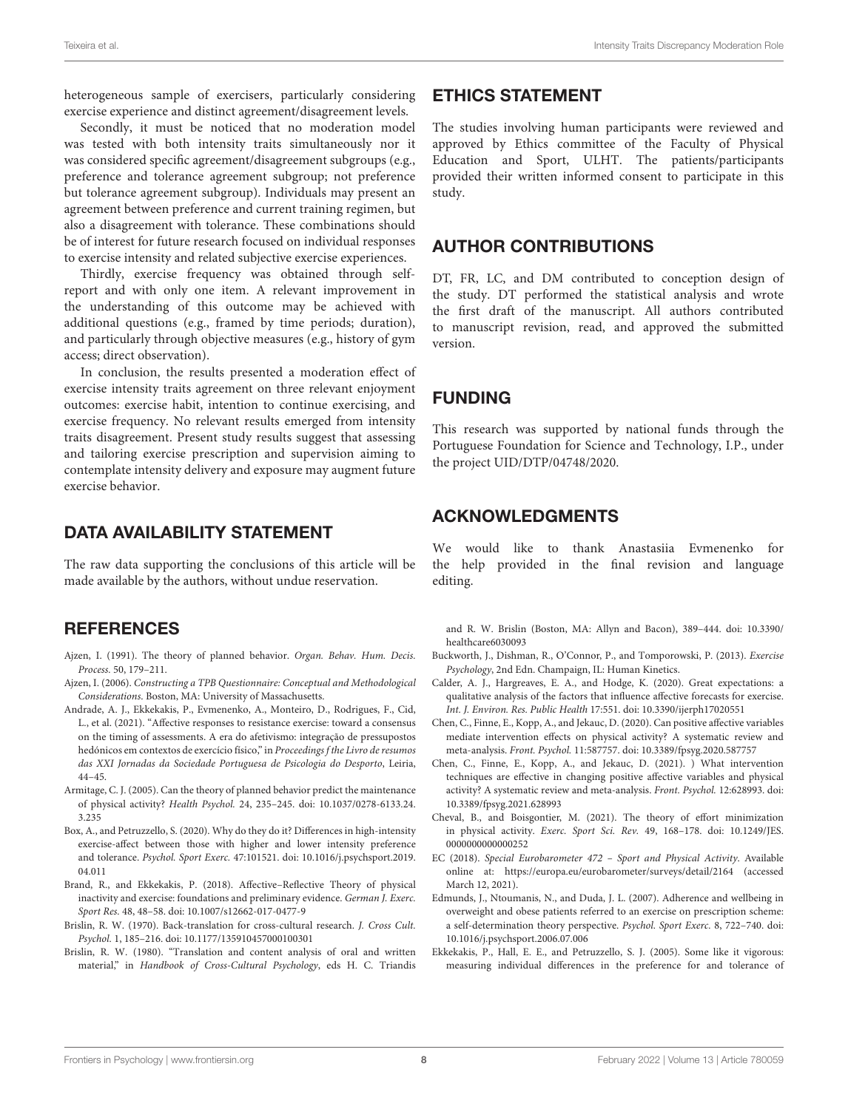heterogeneous sample of exercisers, particularly considering exercise experience and distinct agreement/disagreement levels.

Secondly, it must be noticed that no moderation model was tested with both intensity traits simultaneously nor it was considered specific agreement/disagreement subgroups (e.g., preference and tolerance agreement subgroup; not preference but tolerance agreement subgroup). Individuals may present an agreement between preference and current training regimen, but also a disagreement with tolerance. These combinations should be of interest for future research focused on individual responses to exercise intensity and related subjective exercise experiences.

Thirdly, exercise frequency was obtained through selfreport and with only one item. A relevant improvement in the understanding of this outcome may be achieved with additional questions (e.g., framed by time periods; duration), and particularly through objective measures (e.g., history of gym access; direct observation).

In conclusion, the results presented a moderation effect of exercise intensity traits agreement on three relevant enjoyment outcomes: exercise habit, intention to continue exercising, and exercise frequency. No relevant results emerged from intensity traits disagreement. Present study results suggest that assessing and tailoring exercise prescription and supervision aiming to contemplate intensity delivery and exposure may augment future exercise behavior.

## DATA AVAILABILITY STATEMENT

The raw data supporting the conclusions of this article will be made available by the authors, without undue reservation.

## **REFERENCES**

- <span id="page-7-6"></span>Ajzen, I. (1991). The theory of planned behavior. Organ. Behav. Hum. Decis. Process. 50, 179–211.
- <span id="page-7-12"></span>Ajzen, I. (2006). Constructing a TPB Questionnaire: Conceptual and Methodological Considerations. Boston, MA: University of Massachusetts.
- <span id="page-7-10"></span>Andrade, A. J., Ekkekakis, P., Evmenenko, A., Monteiro, D., Rodrigues, F., Cid, L., et al. (2021). "Affective responses to resistance exercise: toward a consensus on the timing of assessments. A era do afetivismo: integração de pressupostos hedónicos em contextos de exercício físico," in Proceedings f the Livro de resumos das XXI Jornadas da Sociedade Portuguesa de Psicologia do Desporto, Leiria, 44–45.
- <span id="page-7-7"></span>Armitage, C. J. (2005). Can the theory of planned behavior predict the maintenance of physical activity? Health Psychol. 24, 235–245. [doi: 10.1037/0278-6133.24.](https://doi.org/10.1037/0278-6133.24.3.235) [3.235](https://doi.org/10.1037/0278-6133.24.3.235)
- <span id="page-7-9"></span>Box, A., and Petruzzello, S. (2020). Why do they do it? Differences in high-intensity exercise-affect between those with higher and lower intensity preference and tolerance. Psychol. Sport Exerc. 47:101521. [doi: 10.1016/j.psychsport.2019.](https://doi.org/10.1016/j.psychsport.2019.04.011) [04.011](https://doi.org/10.1016/j.psychsport.2019.04.011)
- <span id="page-7-4"></span>Brand, R., and Ekkekakis, P. (2018). Affective–Reflective Theory of physical inactivity and exercise: foundations and preliminary evidence. German J. Exerc. Sport Res. 48, 48–58. [doi: 10.1007/s12662-017-0477-9](https://doi.org/10.1007/s12662-017-0477-9)
- <span id="page-7-13"></span>Brislin, R. W. (1970). Back-translation for cross-cultural research. J. Cross Cult. Psychol. 1, 185–216. [doi: 10.1177/135910457000100301](https://doi.org/10.1177/135910457000100301)
- <span id="page-7-14"></span>Brislin, R. W. (1980). "Translation and content analysis of oral and written material," in Handbook of Cross-Cultural Psychology, eds H. C. Triandis

## ETHICS STATEMENT

The studies involving human participants were reviewed and approved by Ethics committee of the Faculty of Physical Education and Sport, ULHT. The patients/participants provided their written informed consent to participate in this study.

## AUTHOR CONTRIBUTIONS

DT, FR, LC, and DM contributed to conception design of the study. DT performed the statistical analysis and wrote the first draft of the manuscript. All authors contributed to manuscript revision, read, and approved the submitted version.

## FUNDING

This research was supported by national funds through the Portuguese Foundation for Science and Technology, I.P., under the project UID/DTP/04748/2020.

## ACKNOWLEDGMENTS

We would like to thank Anastasiia Evmenenko for the help provided in the final revision and language editing.

and R. W. Brislin (Boston, MA: Allyn and Bacon), 389–444. [doi: 10.3390/](https://doi.org/10.3390/healthcare6030093) [healthcare6030093](https://doi.org/10.3390/healthcare6030093)

- <span id="page-7-1"></span>Buckworth, J., Dishman, R., O'Connor, P., and Tomporowski, P. (2013). Exercise Psychology, 2nd Edn. Champaign, IL: Human Kinetics.
- <span id="page-7-5"></span>Calder, A. J., Hargreaves, E. A., and Hodge, K. (2020). Great expectations: a qualitative analysis of the factors that influence affective forecasts for exercise. Int. J. Environ. Res. Public Health 17:551. [doi: 10.3390/ijerph17020551](https://doi.org/10.3390/ijerph17020551)
- <span id="page-7-3"></span>Chen, C., Finne, E., Kopp, A., and Jekauc, D. (2020). Can positive affective variables mediate intervention effects on physical activity? A systematic review and meta-analysis. Front. Psychol. 11:587757. [doi: 10.3389/fpsyg.2020.587757](https://doi.org/10.3389/fpsyg.2020.587757)
- <span id="page-7-11"></span>Chen, C., Finne, E., Kopp, A., and Jekauc, D. (2021). ) What intervention techniques are effective in changing positive affective variables and physical activity? A systematic review and meta-analysis. Front. Psychol. 12:628993. [doi:](https://doi.org/10.3389/fpsyg.2021.628993) [10.3389/fpsyg.2021.628993](https://doi.org/10.3389/fpsyg.2021.628993)
- <span id="page-7-15"></span>Cheval, B., and Boisgontier, M. (2021). The theory of effort minimization in physical activity. Exerc. Sport Sci. Rev. 49, 168–178. [doi: 10.1249/JES.](https://doi.org/10.1249/JES.0000000000000252) 000000000000252
- <span id="page-7-2"></span>EC (2018). Special Eurobarometer 472 – Sport and Physical Activity. Available online at: <https://europa.eu/eurobarometer/surveys/detail/2164> (accessed March 12, 2021).
- <span id="page-7-0"></span>Edmunds, J., Ntoumanis, N., and Duda, J. L. (2007). Adherence and wellbeing in overweight and obese patients referred to an exercise on prescription scheme: a self-determination theory perspective. Psychol. Sport Exerc. 8, 722–740. [doi:](https://doi.org/10.1016/j.psychsport.2006.07.006) [10.1016/j.psychsport.2006.07.006](https://doi.org/10.1016/j.psychsport.2006.07.006)
- <span id="page-7-8"></span>Ekkekakis, P., Hall, E. E., and Petruzzello, S. J. (2005). Some like it vigorous: measuring individual differences in the preference for and tolerance of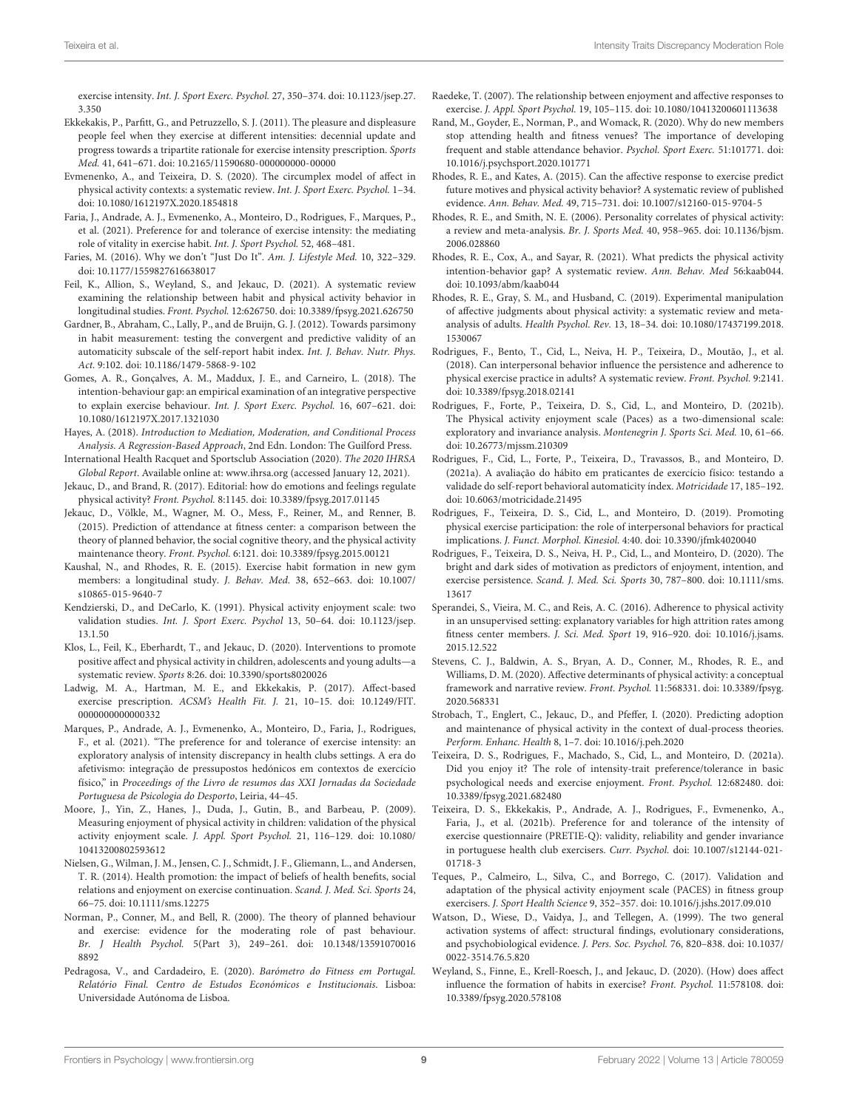exercise intensity. Int. J. Sport Exerc. Psychol. 27, 350–374. [doi: 10.1123/jsep.27.](https://doi.org/10.1123/jsep.27.3.350) [3.350](https://doi.org/10.1123/jsep.27.3.350)

- <span id="page-8-18"></span>Ekkekakis, P., Parfitt, G., and Petruzzello, S. J. (2011). The pleasure and displeasure people feel when they exercise at different intensities: decennial update and progress towards a tripartite rationale for exercise intensity prescription. Sports Med. 41, 641–671. [doi: 10.2165/11590680-000000000-00000](https://doi.org/10.2165/11590680-000000000-00000)
- <span id="page-8-19"></span>Evmenenko, A., and Teixeira, D. S. (2020). The circumplex model of affect in physical activity contexts: a systematic review. Int. J. Sport Exerc. Psychol. 1–34. [doi: 10.1080/1612197X.2020.1854818](https://doi.org/10.1080/1612197X.2020.1854818)
- <span id="page-8-22"></span>Faria, J., Andrade, A. J., Evmenenko, A., Monteiro, D., Rodrigues, F., Marques, P., et al. (2021). Preference for and tolerance of exercise intensity: the mediating role of vitality in exercise habit. Int. J. Sport Psychol. 52, 468–481.
- <span id="page-8-29"></span>Faries, M. (2016). Why we don't "Just Do It". Am. J. Lifestyle Med. 10, 322–329. [doi: 10.1177/1559827616638017](https://doi.org/10.1177/1559827616638017)
- <span id="page-8-17"></span>Feil, K., Allion, S., Weyland, S., and Jekauc, D. (2021). A systematic review examining the relationship between habit and physical activity behavior in longitudinal studies. Front. Psychol. 12:626750. [doi: 10.3389/fpsyg.2021.626750](https://doi.org/10.3389/fpsyg.2021.626750)
- <span id="page-8-36"></span>Gardner, B., Abraham, C., Lally, P., and de Bruijn, G. J. (2012). Towards parsimony in habit measurement: testing the convergent and predictive validity of an automaticity subscale of the self-report habit index. Int. J. Behav. Nutr. Phys. Act. 9:102. [doi: 10.1186/1479-5868-9-102](https://doi.org/10.1186/1479-5868-9-102)
- <span id="page-8-14"></span>Gomes, A. R., Gonçalves, A. M., Maddux, J. E., and Carneiro, L. (2018). The intention-behaviour gap: an empirical examination of an integrative perspective to explain exercise behaviour. Int. J. Sport Exerc. Psychol. 16, 607–621. [doi:](https://doi.org/10.1080/1612197X.2017.1321030) [10.1080/1612197X.2017.1321030](https://doi.org/10.1080/1612197X.2017.1321030)
- <span id="page-8-38"></span>Hayes, A. (2018). Introduction to Mediation, Moderation, and Conditional Process Analysis. A Regression-Based Approach, 2nd Edn. London: The Guilford Press.
- <span id="page-8-1"></span>International Health Racquet and Sportsclub Association (2020). The 2020 IHRSA Global Report. Available online at: [www.ihrsa.org](http://www.ihrsa.org) (accessed January 12, 2021).
- <span id="page-8-6"></span>Jekauc, D., and Brand, R. (2017). Editorial: how do emotions and feelings regulate physical activity? Front. Psychol. 8:1145. [doi: 10.3389/fpsyg.2017.01145](https://doi.org/10.3389/fpsyg.2017.01145)
- <span id="page-8-13"></span>Jekauc, D., Völkle, M., Wagner, M. O., Mess, F., Reiner, M., and Renner, B. (2015). Prediction of attendance at fitness center: a comparison between the theory of planned behavior, the social cognitive theory, and the physical activity maintenance theory. Front. Psychol. 6:121. [doi: 10.3389/fpsyg.2015.00121](https://doi.org/10.3389/fpsyg.2015.00121)
- <span id="page-8-15"></span>Kaushal, N., and Rhodes, R. E. (2015). Exercise habit formation in new gym members: a longitudinal study. J. Behav. Med. 38, 652–663. [doi: 10.1007/](https://doi.org/10.1007/s10865-015-9640-7) [s10865-015-9640-7](https://doi.org/10.1007/s10865-015-9640-7)
- <span id="page-8-33"></span>Kendzierski, D., and DeCarlo, K. (1991). Physical activity enjoyment scale: two validation studies. Int. J. Sport Exerc. Psychol 13, 50–64. [doi: 10.1123/jsep.](https://doi.org/10.1123/jsep.13.1.50) [13.1.50](https://doi.org/10.1123/jsep.13.1.50)
- <span id="page-8-3"></span>Klos, L., Feil, K., Eberhardt, T., and Jekauc, D. (2020). Interventions to promote positive affect and physical activity in children, adolescents and young adults—a systematic review. Sports 8:26. [doi: 10.3390/sports8020026](https://doi.org/10.3390/sports8020026)
- <span id="page-8-20"></span>Ladwig, M. A., Hartman, M. E., and Ekkekakis, P. (2017). Affect-based exercise prescription. ACSM's Health Fit. J. 21, 10–15. [doi: 10.1249/FIT.](https://doi.org/10.1249/FIT.0000000000000332) 000000000000332
- <span id="page-8-31"></span>Marques, P., Andrade, A. J., Evmenenko, A., Monteiro, D., Faria, J., Rodrigues, F., et al. (2021). "The preference for and tolerance of exercise intensity: an exploratory analysis of intensity discrepancy in health clubs settings. A era do afetivismo: integração de pressupostos hedónicos em contextos de exercício físico," in Proceedings of the Livro de resumos das XXI Jornadas da Sociedade Portuguesa de Psicologia do Desporto, Leiria, 44–45.
- <span id="page-8-4"></span>Moore, J., Yin, Z., Hanes, J., Duda, J., Gutin, B., and Barbeau, P. (2009). Measuring enjoyment of physical activity in children: validation of the physical activity enjoyment scale. J. Appl. Sport Psychol. 21, 116–129. [doi: 10.1080/](https://doi.org/10.1080/10413200802593612) [10413200802593612](https://doi.org/10.1080/10413200802593612)
- <span id="page-8-5"></span>Nielsen, G., Wilman, J. M., Jensen, C. J., Schmidt, J. F., Gliemann, L., and Andersen, T. R. (2014). Health promotion: the impact of beliefs of health benefits, social relations and enjoyment on exercise continuation. Scand. J. Med. Sci. Sports 24, 66–75. [doi: 10.1111/sms.12275](https://doi.org/10.1111/sms.12275)
- <span id="page-8-12"></span>Norman, P., Conner, M., and Bell, R. (2000). The theory of planned behaviour and exercise: evidence for the moderating role of past behaviour. Br. J Health Psychol. 5(Part 3), 249–261. [doi: 10.1348/13591070016](https://doi.org/10.1348/135910700168892) [8892](https://doi.org/10.1348/135910700168892)
- <span id="page-8-32"></span>Pedragosa, V., and Cardadeiro, E. (2020). Barómetro do Fitness em Portugal. Relatório Final. Centro de Estudos Económicos e Institucionais. Lisboa: Universidade Autónoma de Lisboa.
- <span id="page-8-10"></span>Raedeke, T. (2007). The relationship between enjoyment and affective responses to exercise. J. Appl. Sport Psychol. 19, 105–115. [doi: 10.1080/10413200601113638](https://doi.org/10.1080/10413200601113638)
- <span id="page-8-23"></span>Rand, M., Goyder, E., Norman, P., and Womack, R. (2020). Why do new members stop attending health and fitness venues? The importance of developing frequent and stable attendance behavior. Psychol. Sport Exerc. 51:101771. [doi:](https://doi.org/10.1016/j.psychsport.2020.101771) [10.1016/j.psychsport.2020.101771](https://doi.org/10.1016/j.psychsport.2020.101771)
- <span id="page-8-2"></span>Rhodes, R. E., and Kates, A. (2015). Can the affective response to exercise predict future motives and physical activity behavior? A systematic review of published evidence. Ann. Behav. Med. 49, 715–731. [doi: 10.1007/s12160-015-9704-5](https://doi.org/10.1007/s12160-015-9704-5)
- <span id="page-8-28"></span>Rhodes, R. E., and Smith, N. E. (2006). Personality correlates of physical activity: a review and meta-analysis. Br. J. Sports Med. 40, 958–965. [doi: 10.1136/bjsm.](https://doi.org/10.1136/bjsm.2006.028860) [2006.028860](https://doi.org/10.1136/bjsm.2006.028860)
- <span id="page-8-30"></span>Rhodes, R. E., Cox, A., and Sayar, R. (2021). What predicts the physical activity intention-behavior gap? A systematic review. Ann. Behav. Med 56:kaab044. [doi: 10.1093/abm/kaab044](https://doi.org/10.1093/abm/kaab044)
- <span id="page-8-26"></span>Rhodes, R. E., Gray, S. M., and Husband, C. (2019). Experimental manipulation of affective judgments about physical activity: a systematic review and metaanalysis of adults. Health Psychol. Rev. 13, 18–34. [doi: 10.1080/17437199.2018.](https://doi.org/10.1080/17437199.2018.1530067) [1530067](https://doi.org/10.1080/17437199.2018.1530067)
- <span id="page-8-24"></span>Rodrigues, F., Bento, T., Cid, L., Neiva, H. P., Teixeira, D., Moutão, J., et al. (2018). Can interpersonal behavior influence the persistence and adherence to physical exercise practice in adults? A systematic review. Front. Psychol. 9:2141. [doi: 10.3389/fpsyg.2018.02141](https://doi.org/10.3389/fpsyg.2018.02141)
- <span id="page-8-35"></span>Rodrigues, F., Forte, P., Teixeira, D. S., Cid, L., and Monteiro, D. (2021b). The Physical activity enjoyment scale (Paces) as a two-dimensional scale: exploratory and invariance analysis. Montenegrin J. Sports Sci. Med. 10, 61–66. [doi: 10.26773/mjssm.210309](https://doi.org/10.26773/mjssm.210309)
- <span id="page-8-37"></span>Rodrigues, F., Cid, L., Forte, P., Teixeira, D., Travassos, B., and Monteiro, D. (2021a). A avaliação do hábito em praticantes de exercício físico: testando a validade do self-report behavioral automaticity índex. Motricidade 17, 185–192. [doi: 10.6063/motricidade.21495](https://doi.org/10.6063/motricidade.21495)
- <span id="page-8-25"></span>Rodrigues, F., Teixeira, D. S., Cid, L., and Monteiro, D. (2019). Promoting physical exercise participation: the role of interpersonal behaviors for practical implications. J. Funct. Morphol. Kinesiol. 4:40. [doi: 10.3390/jfmk4020040](https://doi.org/10.3390/jfmk4020040)
- <span id="page-8-11"></span>Rodrigues, F., Teixeira, D. S., Neiva, H. P., Cid, L., and Monteiro, D. (2020). The bright and dark sides of motivation as predictors of enjoyment, intention, and exercise persistence. Scand. J. Med. Sci. Sports 30, 787-800. [doi: 10.1111/sms.](https://doi.org/10.1111/sms.13617) [13617](https://doi.org/10.1111/sms.13617)
- <span id="page-8-0"></span>Sperandei, S., Vieira, M. C., and Reis, A. C. (2016). Adherence to physical activity in an unsupervised setting: explanatory variables for high attrition rates among fitness center members. J. Sci. Med. Sport 19, 916–920. [doi: 10.1016/j.jsams.](https://doi.org/10.1016/j.jsams.2015.12.522) [2015.12.522](https://doi.org/10.1016/j.jsams.2015.12.522)
- <span id="page-8-8"></span>Stevens, C. J., Baldwin, A. S., Bryan, A. D., Conner, M., Rhodes, R. E., and Williams, D. M. (2020). Affective determinants of physical activity: a conceptual framework and narrative review. Front. Psychol. 11:568331. [doi: 10.3389/fpsyg.](https://doi.org/10.3389/fpsyg.2020.568331) [2020.568331](https://doi.org/10.3389/fpsyg.2020.568331)
- <span id="page-8-9"></span>Strobach, T., Englert, C., Jekauc, D., and Pfeffer, I. (2020). Predicting adoption and maintenance of physical activity in the context of dual-process theories. Perform. Enhanc. Health 8, 1–7. [doi: 10.1016/j.peh.2020](https://doi.org/10.1016/j.peh.2020)
- <span id="page-8-7"></span>Teixeira, D. S., Rodrigues, F., Machado, S., Cid, L., and Monteiro, D. (2021a). Did you enjoy it? The role of intensity-trait preference/tolerance in basic psychological needs and exercise enjoyment. Front. Psychol. 12:682480. [doi:](https://doi.org/10.3389/fpsyg.2021.682480) [10.3389/fpsyg.2021.682480](https://doi.org/10.3389/fpsyg.2021.682480)
- <span id="page-8-21"></span>Teixeira, D. S., Ekkekakis, P., Andrade, A. J., Rodrigues, F., Evmenenko, A., Faria, J., et al. (2021b). Preference for and tolerance of the intensity of exercise questionnaire (PRETIE-Q): validity, reliability and gender invariance in portuguese health club exercisers. Curr. Psychol. [doi: 10.1007/s12144-021-](https://doi.org/10.1007/s12144-021-01718-3) [01718-3](https://doi.org/10.1007/s12144-021-01718-3)
- <span id="page-8-34"></span>Teques, P., Calmeiro, L., Silva, C., and Borrego, C. (2017). Validation and adaptation of the physical activity enjoyment scale (PACES) in fitness group exercisers. J. Sport Health Science 9, 352–357. [doi: 10.1016/j.jshs.2017.09.010](https://doi.org/10.1016/j.jshs.2017.09.010)
- <span id="page-8-27"></span>Watson, D., Wiese, D., Vaidya, J., and Tellegen, A. (1999). The two general activation systems of affect: structural findings, evolutionary considerations, and psychobiological evidence. J. Pers. Soc. Psychol. 76, 820–838. [doi: 10.1037/](https://doi.org/10.1037/0022-3514.76.5.820) [0022-3514.76.5.820](https://doi.org/10.1037/0022-3514.76.5.820)
- <span id="page-8-16"></span>Weyland, S., Finne, E., Krell-Roesch, J., and Jekauc, D. (2020). (How) does affect influence the formation of habits in exercise? Front. Psychol. 11:578108. [doi:](https://doi.org/10.3389/fpsyg.2020.578108) [10.3389/fpsyg.2020.578108](https://doi.org/10.3389/fpsyg.2020.578108)